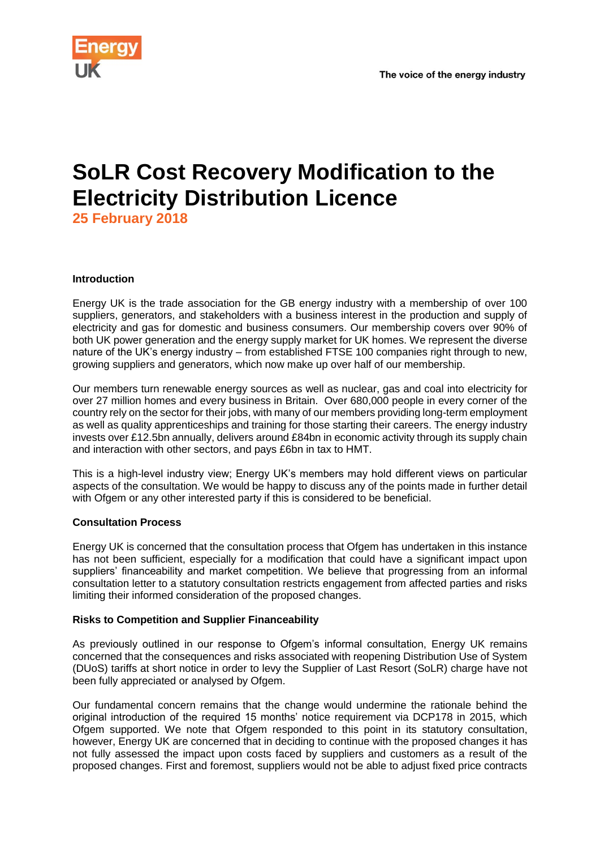

## **SoLR Cost Recovery Modification to the Electricity Distribution Licence**

**25 February 2018**

## **Introduction**

Energy UK is the trade association for the GB energy industry with a membership of over 100 suppliers, generators, and stakeholders with a business interest in the production and supply of electricity and gas for domestic and business consumers. Our membership covers over 90% of both UK power generation and the energy supply market for UK homes. We represent the diverse nature of the UK's energy industry – from established FTSE 100 companies right through to new, growing suppliers and generators, which now make up over half of our membership.

Our members turn renewable energy sources as well as nuclear, gas and coal into electricity for over 27 million homes and every business in Britain. Over 680,000 people in every corner of the country rely on the sector for their jobs, with many of our members providing long-term employment as well as quality apprenticeships and training for those starting their careers. The energy industry invests over £12.5bn annually, delivers around £84bn in economic activity through its supply chain and interaction with other sectors, and pays £6bn in tax to HMT.

This is a high-level industry view; Energy UK's members may hold different views on particular aspects of the consultation. We would be happy to discuss any of the points made in further detail with Ofgem or any other interested party if this is considered to be beneficial.

## **Consultation Process**

Energy UK is concerned that the consultation process that Ofgem has undertaken in this instance has not been sufficient, especially for a modification that could have a significant impact upon suppliers' financeability and market competition. We believe that progressing from an informal consultation letter to a statutory consultation restricts engagement from affected parties and risks limiting their informed consideration of the proposed changes.

## **Risks to Competition and Supplier Financeability**

As previously outlined in our response to Ofgem's informal consultation, Energy UK remains concerned that the consequences and risks associated with reopening Distribution Use of System (DUoS) tariffs at short notice in order to levy the Supplier of Last Resort (SoLR) charge have not been fully appreciated or analysed by Ofgem.

Our fundamental concern remains that the change would undermine the rationale behind the original introduction of the required 15 months' notice requirement via DCP178 in 2015, which Ofgem supported. We note that Ofgem responded to this point in its statutory consultation, however, Energy UK are concerned that in deciding to continue with the proposed changes it has not fully assessed the impact upon costs faced by suppliers and customers as a result of the proposed changes. First and foremost, suppliers would not be able to adjust fixed price contracts